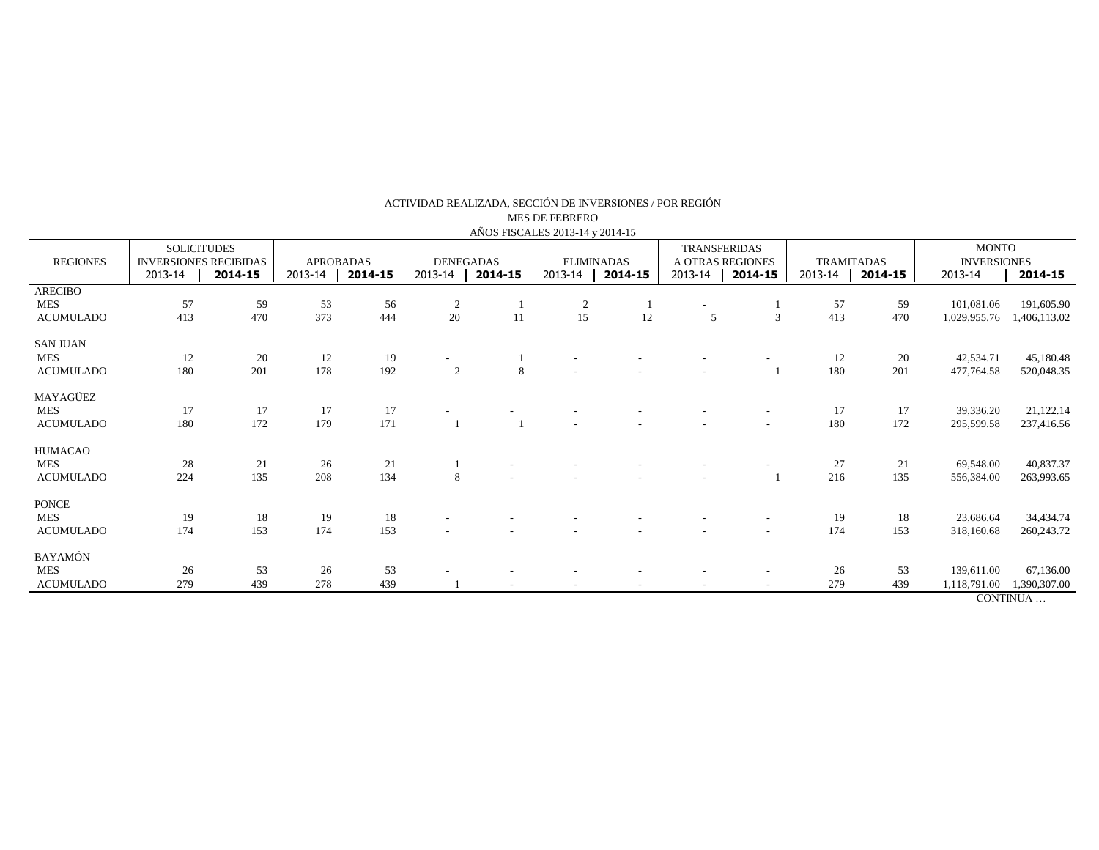| AINOS FISCALES 2013-14 y 2014-13 |                                                    |         |                  |         |                  |         |                   |         |                                         |                |                   |         |                                    |              |
|----------------------------------|----------------------------------------------------|---------|------------------|---------|------------------|---------|-------------------|---------|-----------------------------------------|----------------|-------------------|---------|------------------------------------|--------------|
| <b>REGIONES</b>                  | <b>SOLICITUDES</b><br><b>INVERSIONES RECIBIDAS</b> |         | <b>APROBADAS</b> |         | <b>DENEGADAS</b> |         | <b>ELIMINADAS</b> |         | <b>TRANSFERIDAS</b><br>A OTRAS REGIONES |                | <b>TRAMITADAS</b> |         | <b>MONTO</b><br><b>INVERSIONES</b> |              |
|                                  | 2013-14                                            | 2014-15 | 2013-14          | 2014-15 | 2013-14          | 2014-15 | 2013-14           | 2014-15 | 2013-14                                 | 2014-15        | 2013-14           | 2014-15 | 2013-14                            | 2014-15      |
| <b>ARECIBO</b>                   |                                                    |         |                  |         |                  |         |                   |         |                                         |                |                   |         |                                    |              |
| <b>MES</b>                       | 57                                                 | 59      | 53               | 56      | $\overline{c}$   |         | 2                 |         |                                         |                | 57                | 59      | 101,081.06                         | 191,605.90   |
| <b>ACUMULADO</b>                 | 413                                                | 470     | 373              | 444     | 20               | 11      | 15                | 12      | 5                                       | 3              | 413               | 470     | 1,029,955.76                       | 1,406,113.02 |
| <b>SAN JUAN</b>                  |                                                    |         |                  |         |                  |         |                   |         |                                         |                |                   |         |                                    |              |
| <b>MES</b>                       | 12                                                 | 20      | 12               | 19      |                  |         |                   |         |                                         |                | 12                | 20      | 42,534.71                          | 45,180.48    |
| <b>ACUMULADO</b>                 | 180                                                | 201     | 178              | 192     | 2                | 8       |                   |         |                                         |                | 180               | 201     | 477,764.58                         | 520,048.35   |
| MAYAGÜEZ                         |                                                    |         |                  |         |                  |         |                   |         |                                         |                |                   |         |                                    |              |
| <b>MES</b>                       | 17                                                 | 17      | 17               | 17      |                  |         |                   |         |                                         |                | 17                | 17      | 39,336.20                          | 21,122.14    |
| <b>ACUMULADO</b>                 | 180                                                | 172     | 179              | 171     |                  |         |                   |         |                                         | $\overline{a}$ | 180               | 172     | 295,599.58                         | 237,416.56   |
| <b>HUMACAO</b>                   |                                                    |         |                  |         |                  |         |                   |         |                                         |                |                   |         |                                    |              |
| <b>MES</b>                       | 28                                                 | 21      | 26               | 21      |                  |         |                   |         |                                         |                | 27                | 21      | 69,548.00                          | 40,837.37    |
| <b>ACUMULADO</b>                 | 224                                                | 135     | 208              | 134     | 8                |         |                   |         |                                         |                | 216               | 135     | 556,384.00                         | 263,993.65   |
| <b>PONCE</b>                     |                                                    |         |                  |         |                  |         |                   |         |                                         |                |                   |         |                                    |              |
| <b>MES</b>                       | 19                                                 | 18      | 19               | 18      |                  |         |                   |         |                                         |                | 19                | 18      | 23,686.64                          | 34,434.74    |
| <b>ACUMULADO</b>                 | 174                                                | 153     | 174              | 153     |                  |         |                   |         |                                         | $\overline{a}$ | 174               | 153     | 318,160.68                         | 260,243.72   |
| BAYAMÓN                          |                                                    |         |                  |         |                  |         |                   |         |                                         |                |                   |         |                                    |              |
| <b>MES</b>                       | 26                                                 | 53      | 26               | 53      |                  |         |                   |         |                                         |                | 26                | 53      | 139,611.00                         | 67,136.00    |
| <b>ACUMULADO</b>                 | 279                                                | 439     | 278              | 439     |                  |         |                   |         |                                         |                | 279               | 439     | 1,118,791.00                       | 1,390,307.00 |
|                                  |                                                    |         |                  |         |                  |         |                   |         |                                         | CONTINUA       |                   |         |                                    |              |

## ACTIVIDAD REALIZADA, SECCIÓN DE INVERSIONES / POR REGIÓN AÑOS FISCALES 2013-14 y 2014-15 MES DE FEBRERO